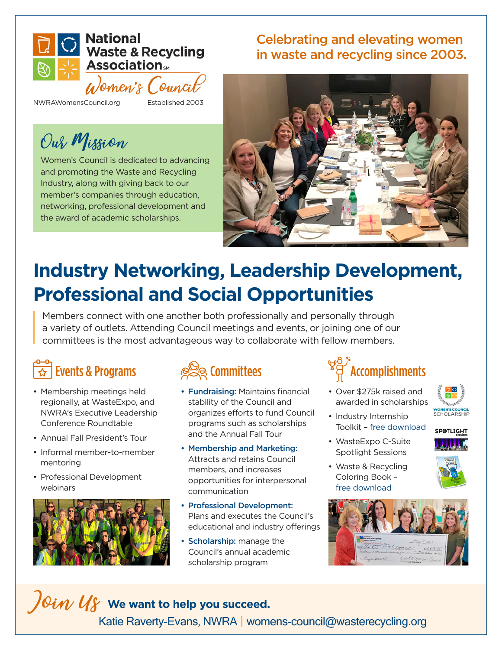

NWRAWomensCouncil.org Established 2003

### Our Mission

Women's Council is dedicated to advancing and promoting the Waste and Recycling Industry, along with giving back to our member's companies through education, networking, professional development and the award of academic scholarships.

### Celebrating and elevating women in waste and recycling since 2003.



### **Industry Networking, Leadership Development, Professional and Social Opportunities**

Members connect with one another both professionally and personally through a variety of outlets. Attending Council meetings and events, or joining one of our committees is the most advantageous way to collaborate with fellow members.

### Events & Programs

- Membership meetings held regionally, at WasteExpo, and NWRA's Executive Leadership Conference Roundtable
- Annual Fall President's Tour
- Informal member-to-member mentoring
- Professional Development webinars



### Committees

- Fundraising: Maintains financial stability of the Council and organizes efforts to fund Council programs such as scholarships and the Annual Fall Tour
- Membership and Marketing: Attracts and retains Council members, and increases opportunities for interpersonal communication
- Professional Development: Plans and executes the Council's educational and industry offerings
- Scholarship: manage the Council's annual academic scholarship program

## **Accomplishments**

• Over \$275k raised and awarded in scholarships



• Industry Internship Toolkit – [free download](https://wasterecycling.org/nwra-womens-council-internship-toolkit/)



- WasteExpo C-Suite Spotlight Sessions
- Waste & Recycling Coloring Book – [free download](https://wasterecycling.org/nwra-womens-council-coloring-book/)



### $\int$ Oi $\eta$  Us we want to help you succeed. Katie Raverty-Evans, NWRA | womens-council@wasterecycling.org